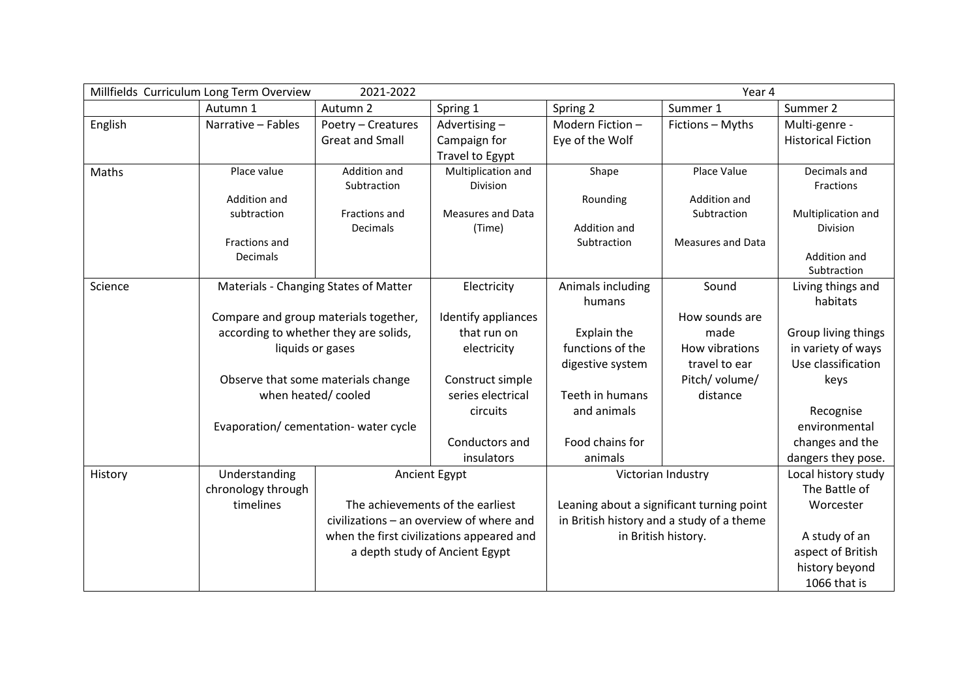| 2021-2022<br>Millfields Curriculum Long Term Overview<br>Year 4 |                                    |                                       |                                           |                   |                                           |                             |
|-----------------------------------------------------------------|------------------------------------|---------------------------------------|-------------------------------------------|-------------------|-------------------------------------------|-----------------------------|
|                                                                 | Autumn 1                           | Autumn 2                              | Spring 1                                  | Spring 2          | Summer 1                                  | Summer 2                    |
| English                                                         | Narrative - Fables                 | Poetry - Creatures                    | Advertising-                              | Modern Fiction-   | Fictions - Myths                          | Multi-genre -               |
|                                                                 |                                    | <b>Great and Small</b>                | Campaign for                              | Eye of the Wolf   |                                           | <b>Historical Fiction</b>   |
|                                                                 |                                    |                                       | <b>Travel to Egypt</b>                    |                   |                                           |                             |
| Maths                                                           | Place value                        | Addition and                          | Multiplication and                        | Shape             | Place Value                               | Decimals and                |
|                                                                 |                                    | Subtraction                           | Division                                  |                   |                                           | Fractions                   |
|                                                                 | Addition and                       |                                       |                                           | Rounding          | Addition and                              |                             |
|                                                                 | subtraction                        | Fractions and                         | <b>Measures and Data</b>                  |                   | Subtraction                               | Multiplication and          |
|                                                                 |                                    | Decimals                              | (Time)                                    | Addition and      |                                           | Division                    |
|                                                                 | Fractions and                      |                                       |                                           | Subtraction       | <b>Measures and Data</b>                  |                             |
|                                                                 | Decimals                           |                                       |                                           |                   |                                           | Addition and<br>Subtraction |
| Science                                                         |                                    | Materials - Changing States of Matter | Electricity                               | Animals including | Sound                                     | Living things and           |
|                                                                 |                                    |                                       |                                           | humans            |                                           | habitats                    |
|                                                                 |                                    | Compare and group materials together, | Identify appliances                       |                   | How sounds are                            |                             |
|                                                                 |                                    | according to whether they are solids, | that run on                               | Explain the       | made                                      | Group living things         |
|                                                                 |                                    |                                       |                                           | functions of the  | How vibrations                            |                             |
|                                                                 |                                    | liquids or gases                      | electricity                               |                   |                                           | in variety of ways          |
|                                                                 |                                    |                                       |                                           | digestive system  | travel to ear                             | Use classification          |
|                                                                 | Observe that some materials change |                                       | Construct simple                          |                   | Pitch/ volume/                            | keys                        |
|                                                                 | when heated/cooled                 |                                       | series electrical                         | Teeth in humans   | distance                                  |                             |
|                                                                 |                                    |                                       | circuits                                  | and animals       |                                           | Recognise                   |
|                                                                 |                                    | Evaporation/ cementation- water cycle |                                           |                   |                                           | environmental               |
|                                                                 |                                    |                                       | Conductors and                            | Food chains for   |                                           | changes and the             |
|                                                                 |                                    |                                       | insulators                                | animals           |                                           | dangers they pose.          |
| History                                                         | Understanding                      |                                       | Ancient Egypt                             |                   | Victorian Industry                        | Local history study         |
|                                                                 | chronology through                 |                                       |                                           |                   |                                           | The Battle of               |
|                                                                 | timelines                          |                                       | The achievements of the earliest          |                   | Leaning about a significant turning point | Worcester                   |
|                                                                 |                                    |                                       | civilizations - an overview of where and  |                   | in British history and a study of a theme |                             |
|                                                                 |                                    |                                       | when the first civilizations appeared and |                   | in British history.                       | A study of an               |
|                                                                 |                                    |                                       | a depth study of Ancient Egypt            |                   |                                           | aspect of British           |
|                                                                 |                                    |                                       |                                           |                   |                                           | history beyond              |
|                                                                 |                                    |                                       |                                           |                   |                                           | 1066 that is                |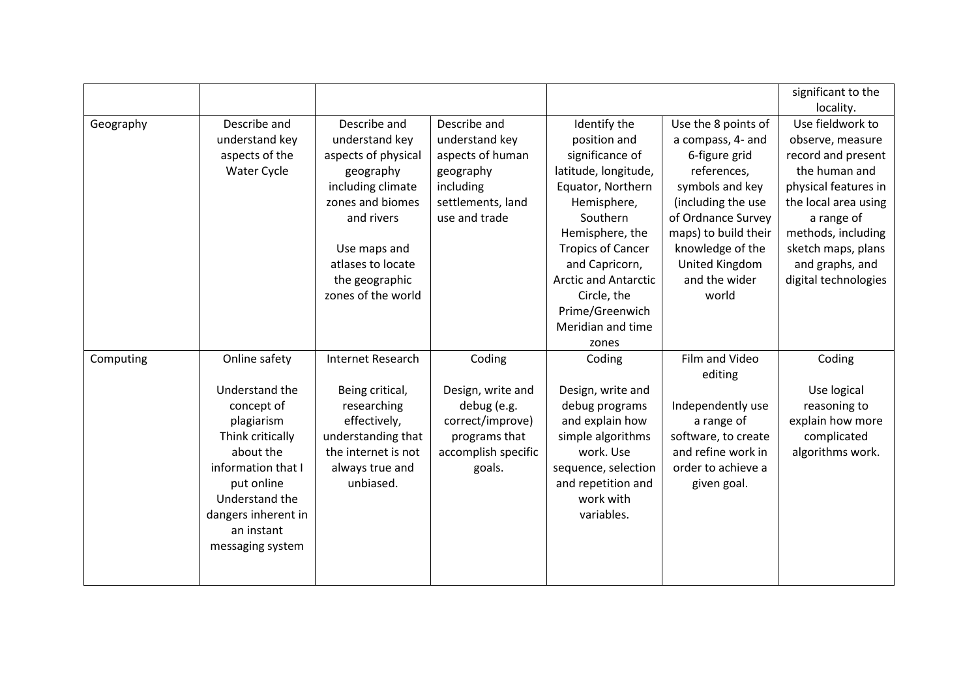|           |                                                                                                                                                                                                             |                                                                                                                                                                                                        |                                                                                                                    |                                                                                                                                                                                                                                                                                         |                                                                                                                                                                                                                                 | significant to the<br>locality.                                                                                                                                                                                                  |
|-----------|-------------------------------------------------------------------------------------------------------------------------------------------------------------------------------------------------------------|--------------------------------------------------------------------------------------------------------------------------------------------------------------------------------------------------------|--------------------------------------------------------------------------------------------------------------------|-----------------------------------------------------------------------------------------------------------------------------------------------------------------------------------------------------------------------------------------------------------------------------------------|---------------------------------------------------------------------------------------------------------------------------------------------------------------------------------------------------------------------------------|----------------------------------------------------------------------------------------------------------------------------------------------------------------------------------------------------------------------------------|
| Geography | Describe and<br>understand key<br>aspects of the<br>Water Cycle                                                                                                                                             | Describe and<br>understand key<br>aspects of physical<br>geography<br>including climate<br>zones and biomes<br>and rivers<br>Use maps and<br>atlases to locate<br>the geographic<br>zones of the world | Describe and<br>understand key<br>aspects of human<br>geography<br>including<br>settlements, land<br>use and trade | Identify the<br>position and<br>significance of<br>latitude, longitude,<br>Equator, Northern<br>Hemisphere,<br>Southern<br>Hemisphere, the<br><b>Tropics of Cancer</b><br>and Capricorn,<br><b>Arctic and Antarctic</b><br>Circle, the<br>Prime/Greenwich<br>Meridian and time<br>zones | Use the 8 points of<br>a compass, 4- and<br>6-figure grid<br>references,<br>symbols and key<br>(including the use<br>of Ordnance Survey<br>maps) to build their<br>knowledge of the<br>United Kingdom<br>and the wider<br>world | Use fieldwork to<br>observe, measure<br>record and present<br>the human and<br>physical features in<br>the local area using<br>a range of<br>methods, including<br>sketch maps, plans<br>and graphs, and<br>digital technologies |
| Computing | Online safety<br>Understand the<br>concept of<br>plagiarism<br>Think critically<br>about the<br>information that I<br>put online<br>Understand the<br>dangers inherent in<br>an instant<br>messaging system | <b>Internet Research</b><br>Being critical,<br>researching<br>effectively,<br>understanding that<br>the internet is not<br>always true and<br>unbiased.                                                | Coding<br>Design, write and<br>debug (e.g.<br>correct/improve)<br>programs that<br>accomplish specific<br>goals.   | Coding<br>Design, write and<br>debug programs<br>and explain how<br>simple algorithms<br>work. Use<br>sequence, selection<br>and repetition and<br>work with<br>variables.                                                                                                              | Film and Video<br>editing<br>Independently use<br>a range of<br>software, to create<br>and refine work in<br>order to achieve a<br>given goal.                                                                                  | Coding<br>Use logical<br>reasoning to<br>explain how more<br>complicated<br>algorithms work.                                                                                                                                     |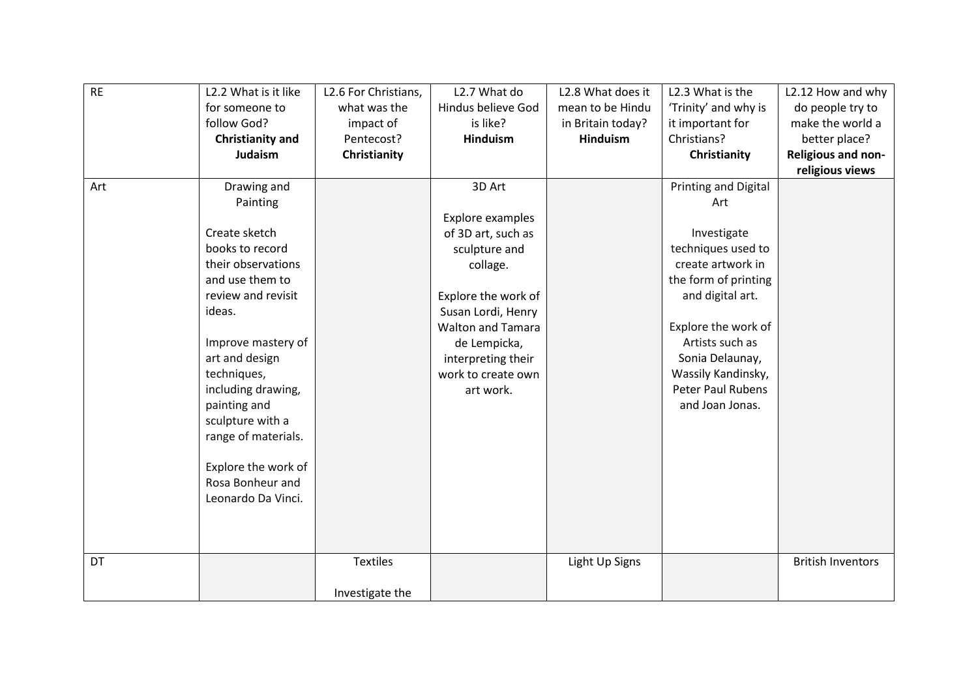| <b>RE</b> | L2.2 What is it like    | L2.6 For Christians, | L2.7 What do             | L2.8 What does it | L2.3 What is the            | L2.12 How and why        |
|-----------|-------------------------|----------------------|--------------------------|-------------------|-----------------------------|--------------------------|
|           | for someone to          | what was the         | Hindus believe God       | mean to be Hindu  | 'Trinity' and why is        | do people try to         |
|           | follow God?             | impact of            | is like?                 | in Britain today? | it important for            | make the world a         |
|           | <b>Christianity and</b> | Pentecost?           | <b>Hinduism</b>          | <b>Hinduism</b>   | Christians?                 | better place?            |
|           | Judaism                 | Christianity         |                          |                   | Christianity                | Religious and non-       |
|           |                         |                      |                          |                   |                             | religious views          |
| Art       | Drawing and             |                      | 3D Art                   |                   | <b>Printing and Digital</b> |                          |
|           | Painting                |                      |                          |                   | Art                         |                          |
|           |                         |                      | Explore examples         |                   |                             |                          |
|           | Create sketch           |                      | of 3D art, such as       |                   | Investigate                 |                          |
|           | books to record         |                      | sculpture and            |                   | techniques used to          |                          |
|           | their observations      |                      | collage.                 |                   | create artwork in           |                          |
|           | and use them to         |                      |                          |                   | the form of printing        |                          |
|           | review and revisit      |                      | Explore the work of      |                   | and digital art.            |                          |
|           | ideas.                  |                      | Susan Lordi, Henry       |                   |                             |                          |
|           |                         |                      | <b>Walton and Tamara</b> |                   | Explore the work of         |                          |
|           | Improve mastery of      |                      | de Lempicka,             |                   | Artists such as             |                          |
|           | art and design          |                      | interpreting their       |                   | Sonia Delaunay,             |                          |
|           | techniques,             |                      | work to create own       |                   | Wassily Kandinsky,          |                          |
|           | including drawing,      |                      | art work.                |                   | <b>Peter Paul Rubens</b>    |                          |
|           | painting and            |                      |                          |                   | and Joan Jonas.             |                          |
|           | sculpture with a        |                      |                          |                   |                             |                          |
|           | range of materials.     |                      |                          |                   |                             |                          |
|           |                         |                      |                          |                   |                             |                          |
|           | Explore the work of     |                      |                          |                   |                             |                          |
|           | Rosa Bonheur and        |                      |                          |                   |                             |                          |
|           | Leonardo Da Vinci.      |                      |                          |                   |                             |                          |
|           |                         |                      |                          |                   |                             |                          |
|           |                         |                      |                          |                   |                             |                          |
|           |                         |                      |                          |                   |                             |                          |
| DT        |                         | <b>Textiles</b>      |                          | Light Up Signs    |                             | <b>British Inventors</b> |
|           |                         |                      |                          |                   |                             |                          |
|           |                         | Investigate the      |                          |                   |                             |                          |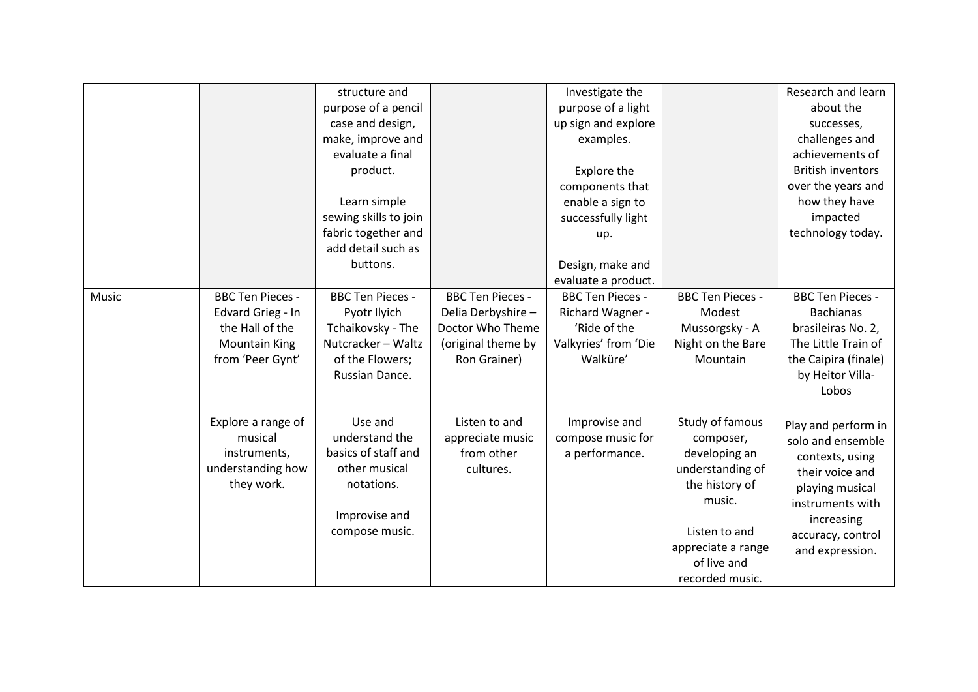|       |                         | structure and           |                         | Investigate the         |                         | Research and learn       |
|-------|-------------------------|-------------------------|-------------------------|-------------------------|-------------------------|--------------------------|
|       |                         | purpose of a pencil     |                         | purpose of a light      |                         | about the                |
|       |                         | case and design,        |                         | up sign and explore     |                         | successes,               |
|       |                         | make, improve and       |                         | examples.               |                         | challenges and           |
|       |                         | evaluate a final        |                         |                         |                         | achievements of          |
|       |                         | product.                |                         | Explore the             |                         | <b>British inventors</b> |
|       |                         |                         |                         | components that         |                         | over the years and       |
|       |                         | Learn simple            |                         | enable a sign to        |                         | how they have            |
|       |                         | sewing skills to join   |                         | successfully light      |                         | impacted                 |
|       |                         | fabric together and     |                         | up.                     |                         | technology today.        |
|       |                         | add detail such as      |                         |                         |                         |                          |
|       |                         | buttons.                |                         | Design, make and        |                         |                          |
|       |                         |                         |                         | evaluate a product.     |                         |                          |
| Music | <b>BBC Ten Pieces -</b> | <b>BBC Ten Pieces -</b> | <b>BBC Ten Pieces -</b> | <b>BBC Ten Pieces -</b> | <b>BBC Ten Pieces -</b> | <b>BBC Ten Pieces -</b>  |
|       | Edvard Grieg - In       | Pyotr Ilyich            | Delia Derbyshire -      | Richard Wagner -        | Modest                  | <b>Bachianas</b>         |
|       | the Hall of the         | Tchaikovsky - The       | Doctor Who Theme        | 'Ride of the            | Mussorgsky - A          | brasileiras No. 2,       |
|       | <b>Mountain King</b>    | Nutcracker - Waltz      | (original theme by      | Valkyries' from 'Die    | Night on the Bare       | The Little Train of      |
|       | from 'Peer Gynt'        | of the Flowers;         | Ron Grainer)            | Walküre'                | Mountain                | the Caipira (finale)     |
|       |                         | Russian Dance.          |                         |                         |                         | by Heitor Villa-         |
|       |                         |                         |                         |                         |                         | Lobos                    |
|       |                         |                         |                         |                         |                         |                          |
|       | Explore a range of      | Use and                 | Listen to and           | Improvise and           | Study of famous         | Play and perform in      |
|       | musical                 | understand the          | appreciate music        | compose music for       | composer,               | solo and ensemble        |
|       | instruments,            | basics of staff and     | from other              | a performance.          | developing an           | contexts, using          |
|       | understanding how       | other musical           | cultures.               |                         | understanding of        | their voice and          |
|       | they work.              | notations.              |                         |                         | the history of          | playing musical          |
|       |                         |                         |                         |                         | music.                  | instruments with         |
|       |                         | Improvise and           |                         |                         |                         | increasing               |
|       |                         | compose music.          |                         |                         | Listen to and           | accuracy, control        |
|       |                         |                         |                         |                         | appreciate a range      | and expression.          |
|       |                         |                         |                         |                         | of live and             |                          |
|       |                         |                         |                         |                         | recorded music.         |                          |